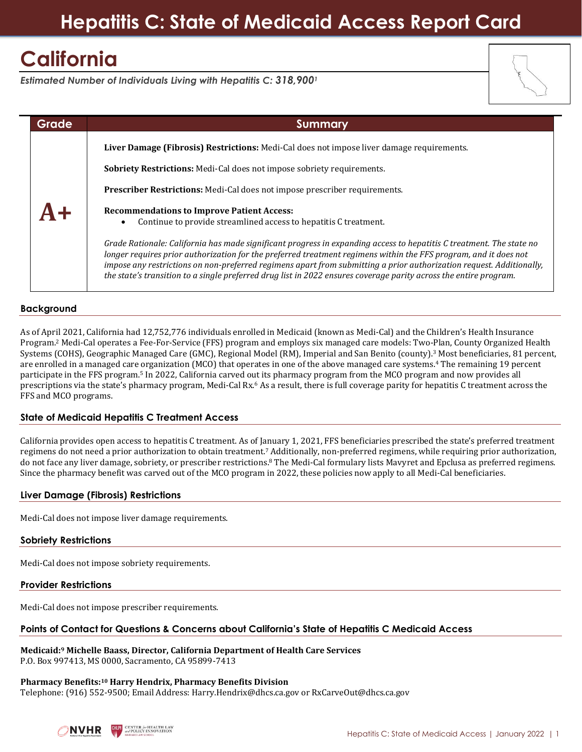## **Hepatitis C: State of Medicaid Access Report Card**

# **California**

*Estimated Number of Individuals Living with Hepatitis C: 318,900<sup>1</sup>*



### **Background**

As of April 2021, California had 12,752,776 individuals enrolled in Medicaid (known as Medi-Cal) and the Children's Health Insurance Program. <sup>2</sup> Medi-Cal operates a Fee-For-Service (FFS) program and employs six managed care models: Two-Plan, County Organized Health Systems (COHS), Geographic Managed Care (GMC), Regional Model (RM), Imperial and San Benito (county).<sup>3</sup> Most beneficiaries, 81 percent, are enrolled in a managed care organization (MCO) that operates in one of the above managed care systems.<sup>4</sup> The remaining 19 percent participate in the FFS program.<sup>5</sup> In 2022, California carved out its pharmacy program from the MCO program and now provides all prescriptions via the state's pharmacy program, Medi-Cal Rx.<sup>6</sup> As a result, there is full coverage parity for hepatitis C treatment across the FFS and MCO programs.

#### **State of Medicaid Hepatitis C Treatment Access**

California provides open access to hepatitis C treatment. As of January 1, 2021, FFS beneficiaries prescribed the state's preferred treatment regimens do not need a prior authorization to obtain treatment.<sup>7</sup> Additionally, non-preferred regimens, while requiring prior authorization, do not face any liver damage, sobriety, or prescriber restrictions.<sup>8</sup> The Medi-Cal formulary lists Mavyret and Epclusa as preferred regimens. Since the pharmacy benefit was carved out of the MCO program in 2022, these policies now apply to all Medi-Cal beneficiaries.

#### **Liver Damage (Fibrosis) Restrictions**

Medi-Cal does not impose liver damage requirements.

#### **Sobriety Restrictions**

Medi-Cal does not impose sobriety requirements.

#### **Provider Restrictions**

Medi-Cal does not impose prescriber requirements.

### **Points of Contact for Questions & Concerns about California's State of Hepatitis C Medicaid Access**

**Medicaid: <sup>9</sup> Michelle Baass, Director, California Department of Health Care Services** P.O. Box 997413, MS 0000, Sacramento, CA 95899-7413

#### **Pharmacy Benefits:<sup>10</sup> Harry Hendrix, Pharmacy Benefits Division** Telephone: (916) 552-9500; Email Address: Harry.Hendrix@dhcs.ca.gov or RxCarveOut@dhcs.ca.gov

**CENTER for HEALTH LAW**<br>and POLICY INNOVATION NVHR